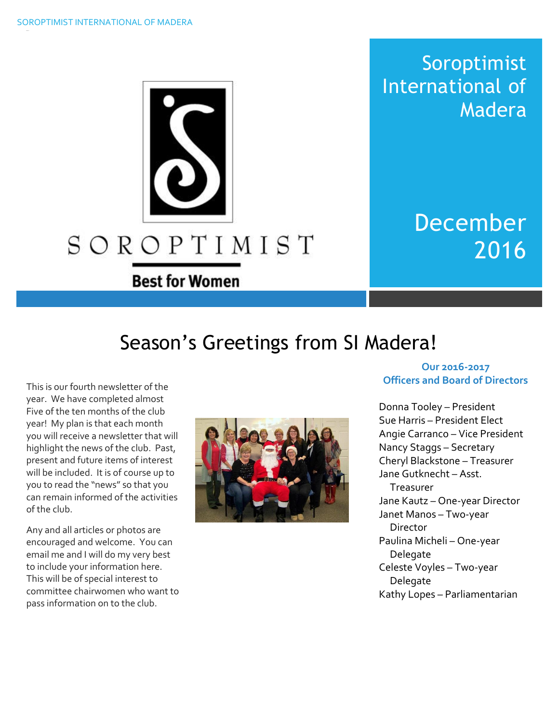

**Best for Women** 

December 2016

Soroptimist

Madera

International of

# Season's Greetings from SI Madera!

This is our fourth newsletter of the year. We have completed almost Five of the ten months of the club year! My plan is that each month you will receive a newsletter that will highlight the news of the club. Past, present and future items of interest will be included. It is of course up to you to read the "news" so that you can remain informed of the activities of the club.

Any and all articles or photos are encouraged and welcome. You can email me and I will do my very best to include your information here. This will be of special interest to committee chairwomen who want to pass information on to the club.



### **Our 2016-2017 Officers and Board of Directors**

Donna Tooley – President Sue Harris – President Elect Angie Carranco – Vice President Nancy Staggs – Secretary Cheryl Blackstone – Treasurer Jane Gutknecht – Asst. Treasurer Jane Kautz – One-year Director Janet Manos – Two-year **Director** Paulina Micheli – One-year Delegate Celeste Voyles – Two-year Delegate Kathy Lopes – Parliamentarian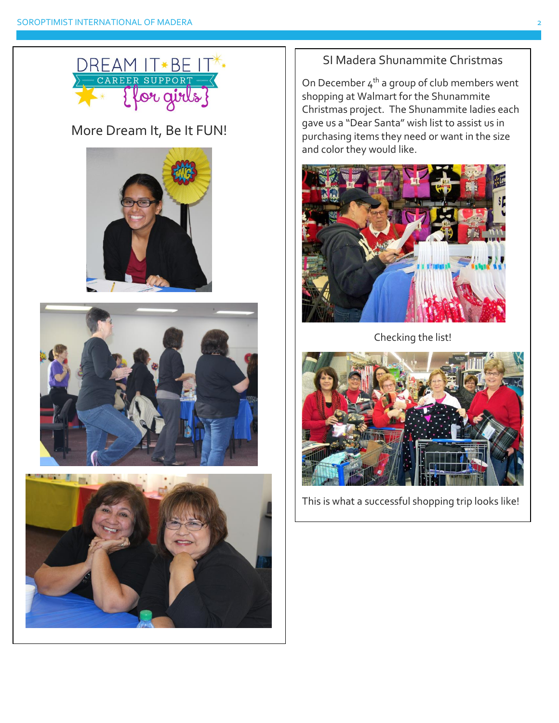

# More Dream It, Be It FUN!







# SI Madera Shunammite Christmas

On December  $4<sup>th</sup>$  a group of club members went shopping at Walmart for the Shunammite Christmas project. The Shunammite ladies each gave us a "Dear Santa" wish list to assist us in purchasing items they need or want in the size and color they would like.



Checking the list!



This is what a successful shopping trip looks like!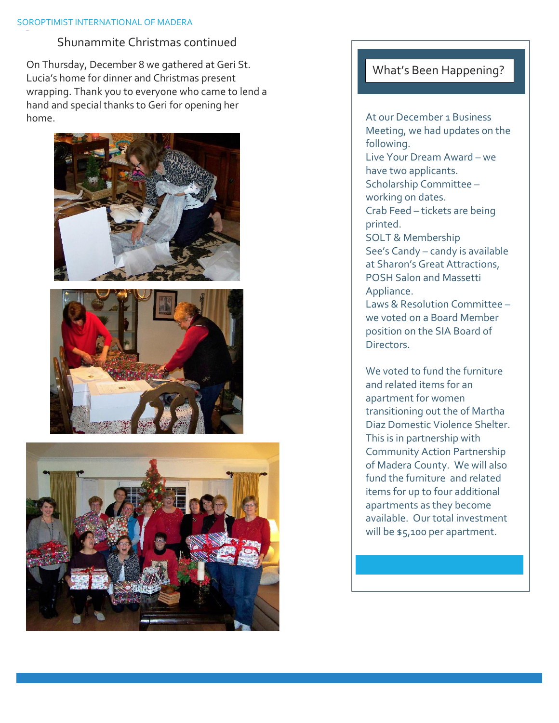#### SOROPTIMIST INTERNATIONAL OF MADERA

# Shunammite Christmas continued

On Thursday, December 8 we gathered at Geri St. Lucia's home for dinner and Christmas present wrapping. Thank you to everyone who came to lend a hand and special thanks to Geri for opening her home.







# What's Been Happening?

At our December 1 Business Meeting, we had updates on the following. Live Your Dream Award – we have two applicants. Scholarship Committee – working on dates. Crab Feed – tickets are being printed. SOLT & Membership See's Candy – candy is available at Sharon's Great Attractions, POSH Salon and Massetti Appliance. Laws & Resolution Committee – we voted on a Board Member position on the SIA Board of **Directors** 

We voted to fund the furniture and related items for an apartment for women transitioning out the of Martha Diaz Domestic Violence Shelter. This is in partnership with Community Action Partnership of Madera County. We will also fund the furniture and related items for up to four additional apartments as they become available. Our total investment will be \$5,100 per apartment.